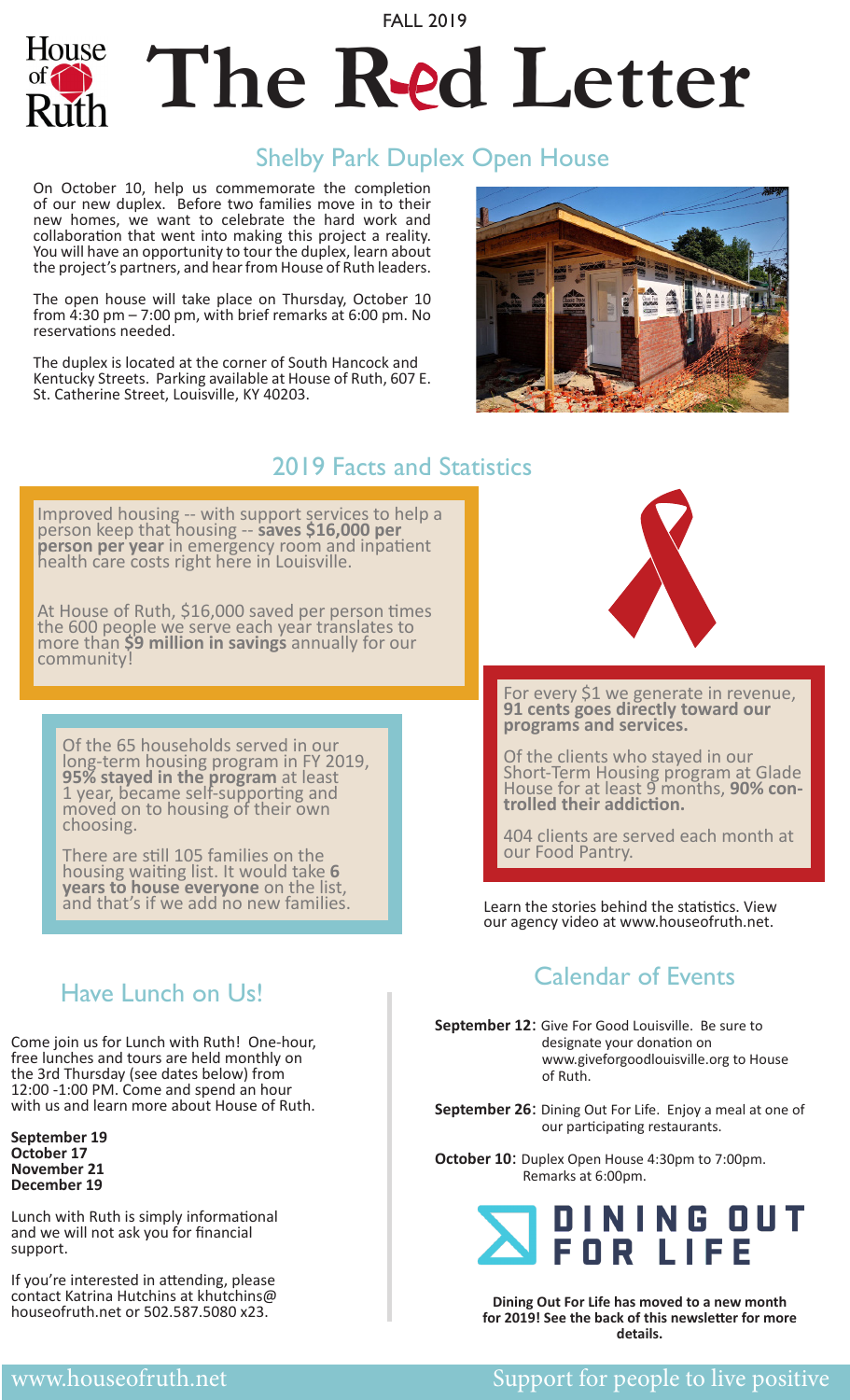# FALL 2019 The Red Letter

### Shelby Park Duplex Open House

On October 10, help us commemorate the completion of our new duplex. Before two families move in to their new homes, we want to celebrate the hard work and collaboration that went into making this project a reality. You will have an opportunity to tour the duplex, learn about the project's partners, and hear from House of Ruth leaders.

House

The open house will take place on Thursday, October 10 from 4:30 pm – 7:00 pm, with brief remarks at 6:00 pm. No reservations needed.

The duplex is located at the corner of South Hancock and Kentucky Streets. Parking available at House of Ruth, 607 E. St. Catherine Street, Louisville, KY 40203.



### 2019 Facts and Statistics

Improved housing -- with support services to help a person keep that housing -- **saves \$16,000 per person per year** in emergency room and inpatient<br>health care costs right here in Louisville.

At House of Ruth, \$16,000 saved per person times the 600 people we serve each year translates to more than **\$9 million in savings** annually for our<br>community!

Of the 65 households served in our long-term housing program in FY 2019, **95% stayed in the program** at least 1 year, became self-supporting and moved on to housing of their own choosing.

There are still 105 families on the housing waiting list. It would take **6 years to house everyone** on the list, **and that is a statistic with the stories behind the statistics. View and that's if we add no new families.** 



For every \$1 we generate in revenue, **91 cents goes directly toward our programs and services.**

Of the clients who stayed in our Short-Term Housing program at Glade House for at least 9 months, **90% con- trolled their addiction.**

404 clients are served each month at our Food Pantry.

our agency video at www.houseofruth.net.

### Calendar of Events

**September 12**: Give For Good Louisville. Be sure to designate your donation on www.giveforgoodlouisville.org to House of Ruth.

**September 26**: Dining Out For Life. Enjoy a meal at one of our participating restaurants.

**October 10**: Duplex Open House 4:30pm to 7:00pm. Remarks at 6:00pm.

### INING OUT **FOR LIFE**

**Dining Out For Life has moved to a new month for 2019! See the back of this newsletter for more details.**

### Have Lunch on Us!

Come join us for Lunch with Ruth! One-hour, free lunches and tours are held monthly on the 3rd Thursday (see dates below) from 12:00 -1:00 PM. Come and spend an hour with us and learn more about House of Ruth.

**September 19 October 17 November 21 December 19**

Lunch with Ruth is simply informational and we will not ask you for financial support.

If you're interested in attending, please contact Katrina Hutchins at khutchins@ houseofruth.net or 502.587.5080 x23.

#### Support for people to live positive